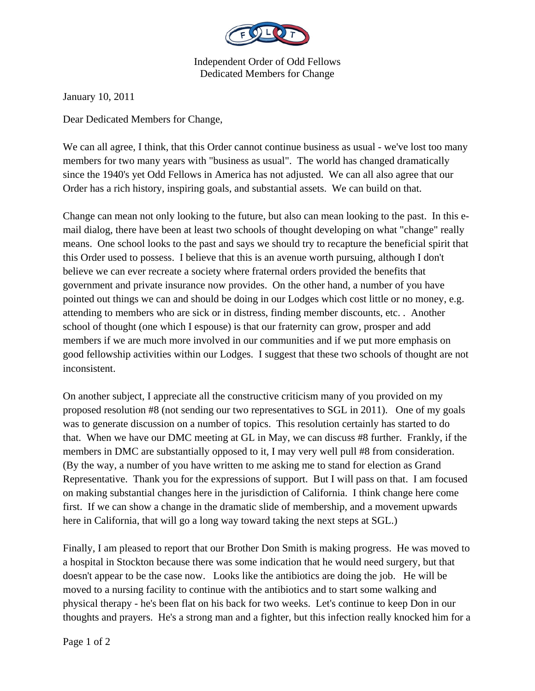

Independent Order of Odd Fellows Dedicated Members for Change

January 10, 2011

Dear Dedicated Members for Change,

We can all agree, I think, that this Order cannot continue business as usual - we've lost too many members for two many years with "business as usual". The world has changed dramatically since the 1940's yet Odd Fellows in America has not adjusted. We can all also agree that our Order has a rich history, inspiring goals, and substantial assets. We can build on that.

Change can mean not only looking to the future, but also can mean looking to the past. In this email dialog, there have been at least two schools of thought developing on what "change" really means. One school looks to the past and says we should try to recapture the beneficial spirit that this Order used to possess. I believe that this is an avenue worth pursuing, although I don't believe we can ever recreate a society where fraternal orders provided the benefits that government and private insurance now provides. On the other hand, a number of you have pointed out things we can and should be doing in our Lodges which cost little or no money, e.g. attending to members who are sick or in distress, finding member discounts, etc. . Another school of thought (one which I espouse) is that our fraternity can grow, prosper and add members if we are much more involved in our communities and if we put more emphasis on good fellowship activities within our Lodges. I suggest that these two schools of thought are not inconsistent.

On another subject, I appreciate all the constructive criticism many of you provided on my proposed resolution #8 (not sending our two representatives to SGL in 2011). One of my goals was to generate discussion on a number of topics. This resolution certainly has started to do that. When we have our DMC meeting at GL in May, we can discuss #8 further. Frankly, if the members in DMC are substantially opposed to it, I may very well pull #8 from consideration. (By the way, a number of you have written to me asking me to stand for election as Grand Representative. Thank you for the expressions of support. But I will pass on that. I am focused on making substantial changes here in the jurisdiction of California. I think change here come first. If we can show a change in the dramatic slide of membership, and a movement upwards here in California, that will go a long way toward taking the next steps at SGL.)

Finally, I am pleased to report that our Brother Don Smith is making progress. He was moved to a hospital in Stockton because there was some indication that he would need surgery, but that doesn't appear to be the case now. Looks like the antibiotics are doing the job. He will be moved to a nursing facility to continue with the antibiotics and to start some walking and physical therapy - he's been flat on his back for two weeks. Let's continue to keep Don in our thoughts and prayers. He's a strong man and a fighter, but this infection really knocked him for a